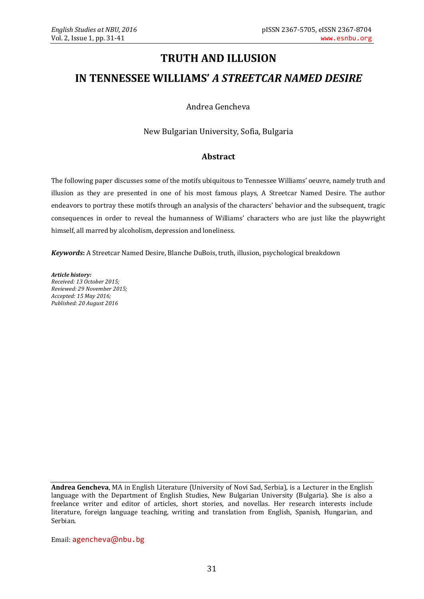## **TRUTH AND ILLUSION**

## **IN TENNESSEE WILLIAMS'** *A STREETCAR NAMED DESIRE*

Andrea Gencheva

New Bulgarian University, Sofia, Bulgaria

## **Abstract**

The following paper discusses some of the motifs ubiquitous to Tennessee Williams' oeuvre, namely truth and illusion as they are presented in one of his most famous plays, A Streetcar Named Desire. The author endeavors to portray these motifs through an analysis of the characters' behavior and the subsequent, tragic consequences in order to reveal the humanness of Williams' characters who are just like the playwright himself, all marred by alcoholism, depression and loneliness.

*Keywords***:** A Streetcar Named Desire, Blanche DuBois, truth, illusion, psychological breakdown

*Article history: Received: 13 October 2015; Reviewed: 29 November 2015; Accepted: 15 May 2016; Published: 20 August 2016*

**Andrea Gencheva**, MA in English Literature (University of Novi Sad, Serbia), is a Lecturer in the English language with the Department of English Studies, New Bulgarian University (Bulgaria). She is also a freelance writer and editor of articles, short stories, and novellas. Her research interests include literature, foreign language teaching, writing and translation from English, Spanish, Hungarian, and Serbian.

Email: [agencheva](mailto:agencheva@nbu.bg)@nbu.bg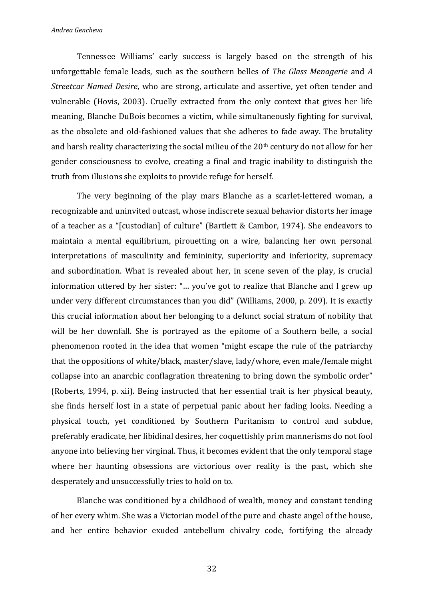Tennessee Williams' early success is largely based on the strength of his unforgettable female leads, such as the southern belles of *The Glass Menagerie* and *A Streetcar Named Desire*, who are strong, articulate and assertive, yet often tender and vulnerable (Hovis, 2003). Cruelly extracted from the only context that gives her life meaning, Blanche DuBois becomes a victim, while simultaneously fighting for survival, as the obsolete and old-fashioned values that she adheres to fade away. The brutality and harsh reality characterizing the social milieu of the 20<sup>th</sup> century do not allow for her gender consciousness to evolve, creating a final and tragic inability to distinguish the truth from illusions she exploits to provide refuge for herself.

The very beginning of the play mars Blanche as a scarlet-lettered woman, a recognizable and uninvited outcast, whose indiscrete sexual behavior distorts her image of a teacher as a "[custodian] of culture" (Bartlett & Cambor, 1974). She endeavors to maintain a mental equilibrium, pirouetting on a wire, balancing her own personal interpretations of masculinity and femininity, superiority and inferiority, supremacy and subordination. What is revealed about her, in scene seven of the play, is crucial information uttered by her sister: "… you've got to realize that Blanche and I grew up under very different circumstances than you did" (Williams, 2000, p. 209). It is exactly this crucial information about her belonging to a defunct social stratum of nobility that will be her downfall. She is portrayed as the epitome of a Southern belle, a social phenomenon rooted in the idea that women "might escape the rule of the patriarchy that the oppositions of white/black, master/slave, lady/whore, even male/female might collapse into an anarchic conflagration threatening to bring down the symbolic order" (Roberts, 1994, p. xii). Being instructed that her essential trait is her physical beauty, she finds herself lost in a state of perpetual panic about her fading looks. Needing a physical touch, yet conditioned by Southern Puritanism to control and subdue, preferably eradicate, her libidinal desires, her coquettishly prim mannerisms do not fool anyone into believing her virginal. Thus, it becomes evident that the only temporal stage where her haunting obsessions are victorious over reality is the past, which she desperately and unsuccessfully tries to hold on to.

Blanche was conditioned by a childhood of wealth, money and constant tending of her every whim. She was a Victorian model of the pure and chaste angel of the house, and her entire behavior exuded antebellum chivalry code, fortifying the already

32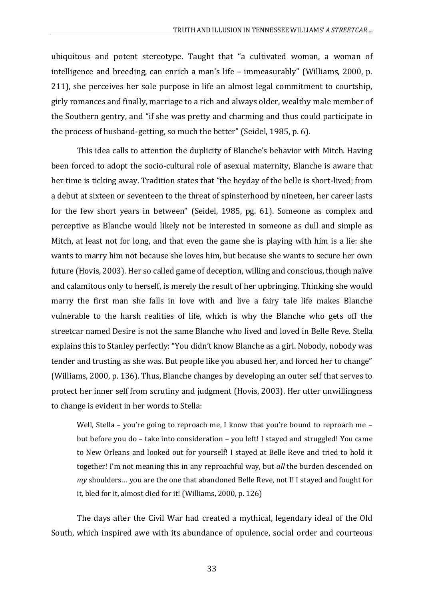ubiquitous and potent stereotype. Taught that "a cultivated woman, a woman of intelligence and breeding, can enrich a man's life – immeasurably" (Williams, 2000, p. 211), she perceives her sole purpose in life an almost legal commitment to courtship, girly romances and finally, marriage to a rich and always older, wealthy male member of the Southern gentry, and "if she was pretty and charming and thus could participate in the process of husband-getting, so much the better" (Seidel, 1985, p. 6).

This idea calls to attention the duplicity of Blanche's behavior with Mitch. Having been forced to adopt the socio-cultural role of asexual maternity, Blanche is aware that her time is ticking away. Tradition states that "the heyday of the belle is short-lived; from a debut at sixteen or seventeen to the threat of spinsterhood by nineteen, her career lasts for the few short years in between" (Seidel, 1985, pg. 61). Someone as complex and perceptive as Blanche would likely not be interested in someone as dull and simple as Mitch, at least not for long, and that even the game she is playing with him is a lie: she wants to marry him not because she loves him, but because she wants to secure her own future (Hovis, 2003). Her so called game of deception, willing and conscious, though naïve and calamitous only to herself, is merely the result of her upbringing. Thinking she would marry the first man she falls in love with and live a fairy tale life makes Blanche vulnerable to the harsh realities of life, which is why the Blanche who gets off the streetcar named Desire is not the same Blanche who lived and loved in Belle Reve. Stella explains this to Stanley perfectly: "You didn't know Blanche as a girl. Nobody, nobody was tender and trusting as she was. But people like you abused her, and forced her to change" (Williams, 2000, p. 136). Thus, Blanche changes by developing an outer self that serves to protect her inner self from scrutiny and judgment (Hovis, 2003). Her utter unwillingness to change is evident in her words to Stella:

Well, Stella – you're going to reproach me, I know that you're bound to reproach me – but before you do – take into consideration – you left! I stayed and struggled! You came to New Orleans and looked out for yourself! I stayed at Belle Reve and tried to hold it together! I'm not meaning this in any reproachful way, but *all* the burden descended on *my* shoulders… you are the one that abandoned Belle Reve, not I! I stayed and fought for it, bled for it, almost died for it! (Williams, 2000, p. 126)

The days after the Civil War had created a mythical, legendary ideal of the Old South, which inspired awe with its abundance of opulence, social order and courteous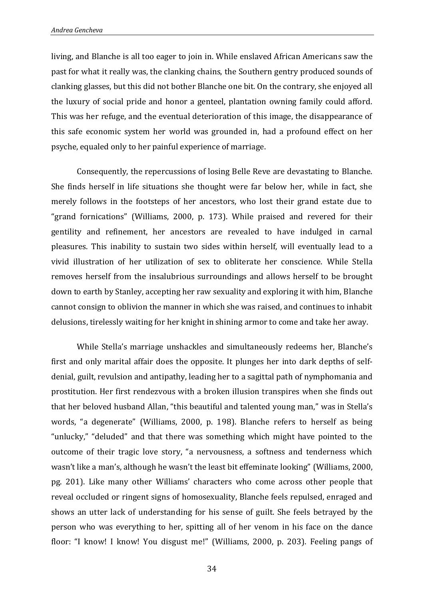living, and Blanche is all too eager to join in. While enslaved African Americans saw the past for what it really was, the clanking chains, the Southern gentry produced sounds of clanking glasses, but this did not bother Blanche one bit. On the contrary, she enjoyed all the luxury of social pride and honor a genteel, plantation owning family could afford. This was her refuge, and the eventual deterioration of this image, the disappearance of this safe economic system her world was grounded in, had a profound effect on her psyche, equaled only to her painful experience of marriage.

Consequently, the repercussions of losing Belle Reve are devastating to Blanche. She finds herself in life situations she thought were far below her, while in fact, she merely follows in the footsteps of her ancestors, who lost their grand estate due to "grand fornications" (Williams, 2000, p. 173). While praised and revered for their gentility and refinement, her ancestors are revealed to have indulged in carnal pleasures. This inability to sustain two sides within herself, will eventually lead to a vivid illustration of her utilization of sex to obliterate her conscience. While Stella removes herself from the insalubrious surroundings and allows herself to be brought down to earth by Stanley, accepting her raw sexuality and exploring it with him, Blanche cannot consign to oblivion the manner in which she was raised, and continues to inhabit delusions, tirelessly waiting for her knight in shining armor to come and take her away.

While Stella's marriage unshackles and simultaneously redeems her, Blanche's first and only marital affair does the opposite. It plunges her into dark depths of selfdenial, guilt, revulsion and antipathy, leading her to a sagittal path of nymphomania and prostitution. Her first rendezvous with a broken illusion transpires when she finds out that her beloved husband Allan, "this beautiful and talented young man," was in Stella's words, "a degenerate" (Williams, 2000, p. 198). Blanche refers to herself as being "unlucky," "deluded" and that there was something which might have pointed to the outcome of their tragic love story, "a nervousness, a softness and tenderness which wasn't like a man's, although he wasn't the least bit effeminate looking" (Williams, 2000, pg. 201). Like many other Williams' characters who come across other people that reveal occluded or ringent signs of homosexuality, Blanche feels repulsed, enraged and shows an utter lack of understanding for his sense of guilt. She feels betrayed by the person who was everything to her, spitting all of her venom in his face on the dance floor: "I know! I know! You disgust me!" (Williams, 2000, p. 203). Feeling pangs of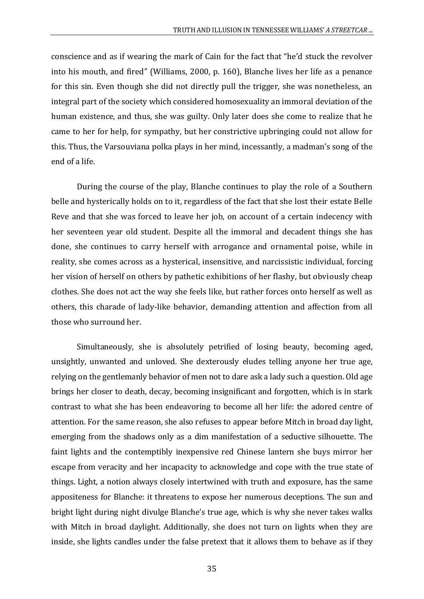conscience and as if wearing the mark of Cain for the fact that "he'd stuck the revolver into his mouth, and fired" (Williams, 2000, p. 160), Blanche lives her life as a penance for this sin. Even though she did not directly pull the trigger, she was nonetheless, an integral part of the society which considered homosexuality an immoral deviation of the human existence, and thus, she was guilty. Only later does she come to realize that he came to her for help, for sympathy, but her constrictive upbringing could not allow for this. Thus, the Varsouviana polka plays in her mind, incessantly, a madman's song of the end of a life.

During the course of the play, Blanche continues to play the role of a Southern belle and hysterically holds on to it, regardless of the fact that she lost their estate Belle Reve and that she was forced to leave her job, on account of a certain indecency with her seventeen year old student. Despite all the immoral and decadent things she has done, she continues to carry herself with arrogance and ornamental poise, while in reality, she comes across as a hysterical, insensitive, and narcissistic individual, forcing her vision of herself on others by pathetic exhibitions of her flashy, but obviously cheap clothes. She does not act the way she feels like, but rather forces onto herself as well as others, this charade of lady-like behavior, demanding attention and affection from all those who surround her.

Simultaneously, she is absolutely petrified of losing beauty, becoming aged, unsightly, unwanted and unloved. She dexterously eludes telling anyone her true age, relying on the gentlemanly behavior of men not to dare ask a lady such a question. Old age brings her closer to death, decay, becoming insignificant and forgotten, which is in stark contrast to what she has been endeavoring to become all her life: the adored centre of attention. For the same reason, she also refuses to appear before Mitch in broad day light, emerging from the shadows only as a dim manifestation of a seductive silhouette. The faint lights and the contemptibly inexpensive red Chinese lantern she buys mirror her escape from veracity and her incapacity to acknowledge and cope with the true state of things. Light, a notion always closely intertwined with truth and exposure, has the same appositeness for Blanche: it threatens to expose her numerous deceptions. The sun and bright light during night divulge Blanche's true age, which is why she never takes walks with Mitch in broad daylight. Additionally, she does not turn on lights when they are inside, she lights candles under the false pretext that it allows them to behave as if they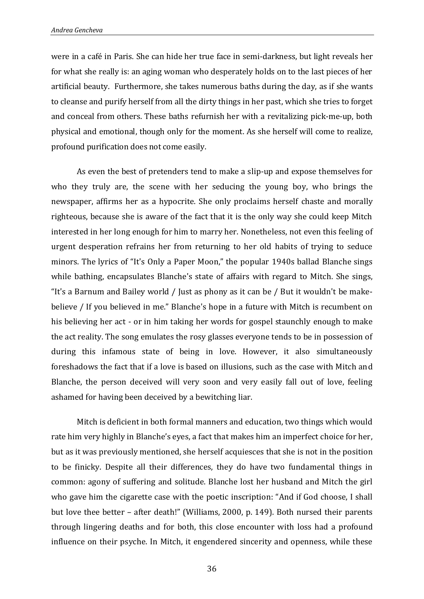were in a café in Paris. She can hide her true face in semi-darkness, but light reveals her for what she really is: an aging woman who desperately holds on to the last pieces of her artificial beauty. Furthermore, she takes numerous baths during the day, as if she wants to cleanse and purify herself from all the dirty things in her past, which she tries to forget and conceal from others. These baths refurnish her with a revitalizing pick-me-up, both physical and emotional, though only for the moment. As she herself will come to realize, profound purification does not come easily.

As even the best of pretenders tend to make a slip-up and expose themselves for who they truly are, the scene with her seducing the young boy, who brings the newspaper, affirms her as a hypocrite. She only proclaims herself chaste and morally righteous, because she is aware of the fact that it is the only way she could keep Mitch interested in her long enough for him to marry her. Nonetheless, not even this feeling of urgent desperation refrains her from returning to her old habits of trying to seduce minors. The lyrics of "It's Only a Paper Moon," the popular 1940s ballad Blanche sings while bathing, encapsulates Blanche's state of affairs with regard to Mitch. She sings, "It's a Barnum and Bailey world / Just as phony as it can be / But it wouldn't be makebelieve / If you believed in me." Blanche's hope in a future with Mitch is recumbent on his believing her act - or in him taking her words for gospel staunchly enough to make the act reality. The song emulates the rosy glasses everyone tends to be in possession of during this infamous state of being in love. However, it also simultaneously foreshadows the fact that if a love is based on illusions, such as the case with Mitch and Blanche, the person deceived will very soon and very easily fall out of love, feeling ashamed for having been deceived by a bewitching liar.

Mitch is deficient in both formal manners and education, two things which would rate him very highly in Blanche's eyes, a fact that makes him an imperfect choice for her, but as it was previously mentioned, she herself acquiesces that she is not in the position to be finicky. Despite all their differences, they do have two fundamental things in common: agony of suffering and solitude. Blanche lost her husband and Mitch the girl who gave him the cigarette case with the poetic inscription: "And if God choose, I shall but love thee better – after death!" (Williams, 2000, p. 149). Both nursed their parents through lingering deaths and for both, this close encounter with loss had a profound influence on their psyche. In Mitch, it engendered sincerity and openness, while these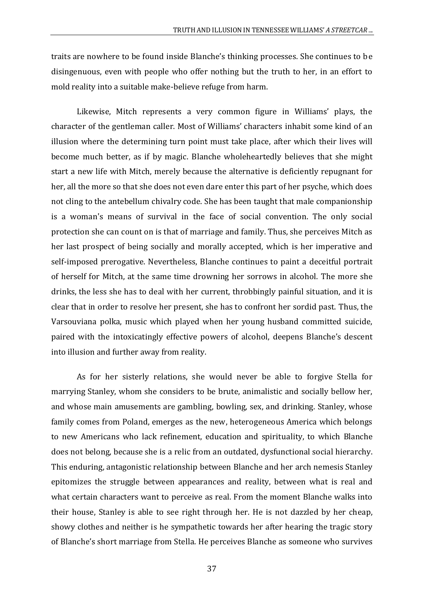traits are nowhere to be found inside Blanche's thinking processes. She continues to be disingenuous, even with people who offer nothing but the truth to her, in an effort to mold reality into a suitable make-believe refuge from harm.

Likewise, Mitch represents a very common figure in Williams' plays, the character of the gentleman caller. Most of Williams' characters inhabit some kind of an illusion where the determining turn point must take place, after which their lives will become much better, as if by magic. Blanche wholeheartedly believes that she might start a new life with Mitch, merely because the alternative is deficiently repugnant for her, all the more so that she does not even dare enter this part of her psyche, which does not cling to the antebellum chivalry code. She has been taught that male companionship is a woman's means of survival in the face of social convention. The only social protection she can count on is that of marriage and family. Thus, she perceives Mitch as her last prospect of being socially and morally accepted, which is her imperative and self-imposed prerogative. Nevertheless, Blanche continues to paint a deceitful portrait of herself for Mitch, at the same time drowning her sorrows in alcohol. The more she drinks, the less she has to deal with her current, throbbingly painful situation, and it is clear that in order to resolve her present, she has to confront her sordid past. Thus, the Varsouviana polka, music which played when her young husband committed suicide, paired with the intoxicatingly effective powers of alcohol, deepens Blanche's descent into illusion and further away from reality.

As for her sisterly relations, she would never be able to forgive Stella for marrying Stanley, whom she considers to be brute, animalistic and socially bellow her, and whose main amusements are gambling, bowling, sex, and drinking. Stanley, whose family comes from Poland, emerges as the new, heterogeneous America which belongs to new Americans who lack refinement, education and spirituality, to which Blanche does not belong, because she is a relic from an outdated, dysfunctional social hierarchy. This enduring, antagonistic relationship between Blanche and her arch nemesis Stanley epitomizes the struggle between appearances and reality, between what is real and what certain characters want to perceive as real. From the moment Blanche walks into their house, Stanley is able to see right through her. He is not dazzled by her cheap, showy clothes and neither is he sympathetic towards her after hearing the tragic story of Blanche's short marriage from Stella. He perceives Blanche as someone who survives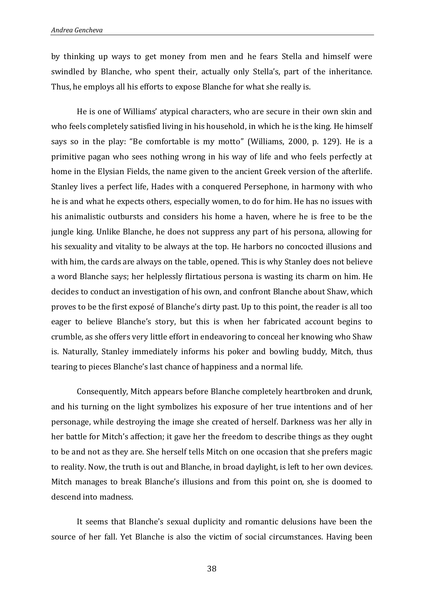by thinking up ways to get money from men and he fears Stella and himself were swindled by Blanche, who spent their, actually only Stella's, part of the inheritance. Thus, he employs all his efforts to expose Blanche for what she really is.

He is one of Williams' atypical characters, who are secure in their own skin and who feels completely satisfied living in his household, in which he is the king. He himself says so in the play: "Be comfortable is my motto" (Williams, 2000, p. 129). He is a primitive pagan who sees nothing wrong in his way of life and who feels perfectly at home in the Elysian Fields, the name given to the ancient Greek version of the afterlife. Stanley lives a perfect life, Hades with a conquered Persephone, in harmony with who he is and what he expects others, especially women, to do for him. He has no issues with his animalistic outbursts and considers his home a haven, where he is free to be the jungle king. Unlike Blanche, he does not suppress any part of his persona, allowing for his sexuality and vitality to be always at the top. He harbors no concocted illusions and with him, the cards are always on the table, opened. This is why Stanley does not believe a word Blanche says; her helplessly flirtatious persona is wasting its charm on him. He decides to conduct an investigation of his own, and confront Blanche about Shaw, which proves to be the first exposé of Blanche's dirty past. Up to this point, the reader is all too eager to believe Blanche's story, but this is when her fabricated account begins to crumble, as she offers very little effort in endeavoring to conceal her knowing who Shaw is. Naturally, Stanley immediately informs his poker and bowling buddy, Mitch, thus tearing to pieces Blanche's last chance of happiness and a normal life.

Consequently, Mitch appears before Blanche completely heartbroken and drunk, and his turning on the light symbolizes his exposure of her true intentions and of her personage, while destroying the image she created of herself. Darkness was her ally in her battle for Mitch's affection; it gave her the freedom to describe things as they ought to be and not as they are. She herself tells Mitch on one occasion that she prefers magic to reality. Now, the truth is out and Blanche, in broad daylight, is left to her own devices. Mitch manages to break Blanche's illusions and from this point on, she is doomed to descend into madness.

It seems that Blanche's sexual duplicity and romantic delusions have been the source of her fall. Yet Blanche is also the victim of social circumstances. Having been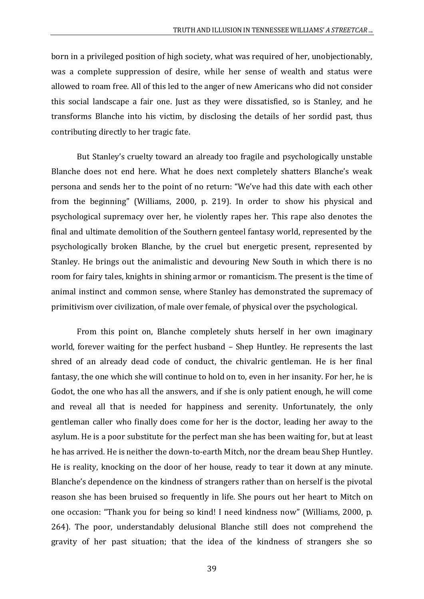born in a privileged position of high society, what was required of her, unobjectionably, was a complete suppression of desire, while her sense of wealth and status were allowed to roam free. All of this led to the anger of new Americans who did not consider this social landscape a fair one. Just as they were dissatisfied, so is Stanley, and he transforms Blanche into his victim, by disclosing the details of her sordid past, thus contributing directly to her tragic fate.

But Stanley's cruelty toward an already too fragile and psychologically unstable Blanche does not end here. What he does next completely shatters Blanche's weak persona and sends her to the point of no return: "We've had this date with each other from the beginning" (Williams, 2000, p. 219). In order to show his physical and psychological supremacy over her, he violently rapes her. This rape also denotes the final and ultimate demolition of the Southern genteel fantasy world, represented by the psychologically broken Blanche, by the cruel but energetic present, represented by Stanley. He brings out the animalistic and devouring New South in which there is no room for fairy tales, knights in shining armor or romanticism. The present is the time of animal instinct and common sense, where Stanley has demonstrated the supremacy of primitivism over civilization, of male over female, of physical over the psychological.

From this point on, Blanche completely shuts herself in her own imaginary world, forever waiting for the perfect husband – Shep Huntley. He represents the last shred of an already dead code of conduct, the chivalric gentleman. He is her final fantasy, the one which she will continue to hold on to, even in her insanity. For her, he is Godot, the one who has all the answers, and if she is only patient enough, he will come and reveal all that is needed for happiness and serenity. Unfortunately, the only gentleman caller who finally does come for her is the doctor, leading her away to the asylum. He is a poor substitute for the perfect man she has been waiting for, but at least he has arrived. He is neither the down-to-earth Mitch, nor the dream beau Shep Huntley. He is reality, knocking on the door of her house, ready to tear it down at any minute. Blanche's dependence on the kindness of strangers rather than on herself is the pivotal reason she has been bruised so frequently in life. She pours out her heart to Mitch on one occasion: "Thank you for being so kind! I need kindness now" (Williams, 2000, p. 264). The poor, understandably delusional Blanche still does not comprehend the gravity of her past situation; that the idea of the kindness of strangers she so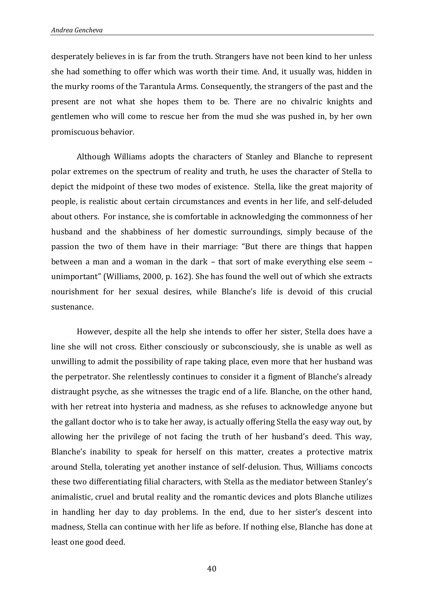desperately believes in is far from the truth. Strangers have not been kind to her unless she had something to offer which was worth their time. And, it usually was, hidden in the murky rooms of the Tarantula Arms. Consequently, the strangers of the past and the present are not what she hopes them to be. There are no chivalric knights and gentlemen who will come to rescue her from the mud she was pushed in, by her own promiscuous behavior.

Although Williams adopts the characters of [Stanley](http://www.papermasters.com/stanley-streetcar-named-desire.html) and [Blanche](http://www.papermasters.com/blanche-dubois.html) to represent polar extremes on the spectrum of reality and truth, he uses the character of Stella to depict the midpoint of these two modes of existence. Stella, like the great majority of people, is realistic about certain circumstances and events in her life, and self-deluded about others. For instance, she is comfortable in acknowledging the commonness of her husband and the shabbiness of her domestic surroundings, simply because of the passion the two of them have in their marriage: "But there are things that happen between a man and a woman in the dark – that sort of make everything else seem – unimportant" (Williams, 2000, p. 162). She has found the well out of which she extracts nourishment for her sexual desires, while Blanche's life is devoid of this crucial sustenance.

However, despite all the help she intends to offer her sister, Stella does have a line she will not cross. Either consciously or subconsciously, she is unable as well as unwilling to admit the possibility of rape taking place, even more that her husband was the perpetrator. She relentlessly continues to consider it a figment of Blanche's already distraught psyche, as she witnesses the tragic end of a life. Blanche, on the other hand, with her retreat into hysteria and madness, as she refuses to acknowledge anyone but the gallant doctor who is to take her away, is actually offering Stella the easy way out, by allowing her the privilege of not facing the truth of her husband's deed. This way, Blanche's inability to speak for herself on this matter, creates a protective matrix around Stella, tolerating yet another instance of self-delusion. Thus, Williams concocts these two differentiating filial characters, with Stella as the mediator between Stanley's animalistic, cruel and brutal reality and the romantic devices and plots Blanche utilizes in handling her day to day problems. In the end, due to her sister's descent into madness, Stella can continue with her life as before. If nothing else, Blanche has done at least one good deed.

40